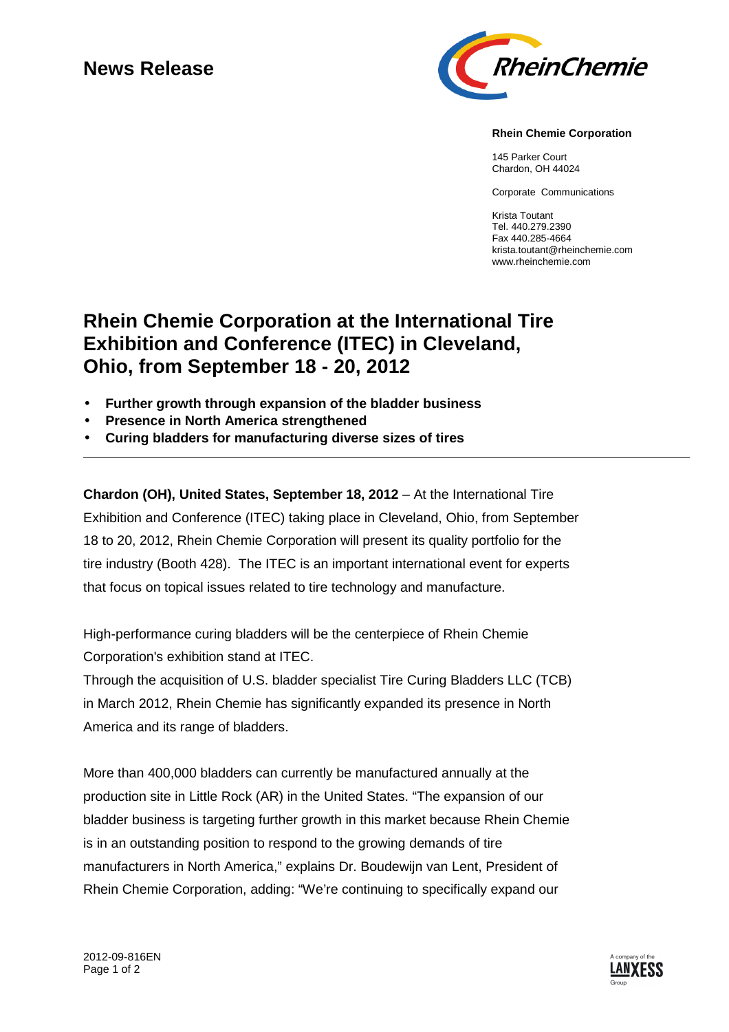# **News Release**



#### **Rhein Chemie Corporation**

145 Parker Court Chardon, OH 44024

Corporate Communications

Krista Toutant Tel. 440.279.2390 Fax 440.285-4664 krista.toutant@rheinchemie.com www.rheinchemie.com

# **Rhein Chemie Corporation at the International Tire Exhibition and Conference (ITEC) in Cleveland, Ohio, from September 18 - 20, 2012**

- **Further growth through expansion of the bladder business**
- **Presence in North America strengthened**
- **Curing bladders for manufacturing diverse sizes of tires**

**Chardon (OH), United States, September 18, 2012 – At the International Tire** Exhibition and Conference (ITEC) taking place in Cleveland, Ohio, from September 18 to 20, 2012, Rhein Chemie Corporation will present its quality portfolio for the tire industry (Booth 428). The ITEC is an important international event for experts that focus on topical issues related to tire technology and manufacture.

High-performance curing bladders will be the centerpiece of Rhein Chemie Corporation's exhibition stand at ITEC.

Through the acquisition of U.S. bladder specialist Tire Curing Bladders LLC (TCB) in March 2012, Rhein Chemie has significantly expanded its presence in North America and its range of bladders.

More than 400,000 bladders can currently be manufactured annually at the production site in Little Rock (AR) in the United States. "The expansion of our bladder business is targeting further growth in this market because Rhein Chemie is in an outstanding position to respond to the growing demands of tire manufacturers in North America," explains Dr. Boudewijn van Lent, President of Rhein Chemie Corporation, adding: "We're continuing to specifically expand our